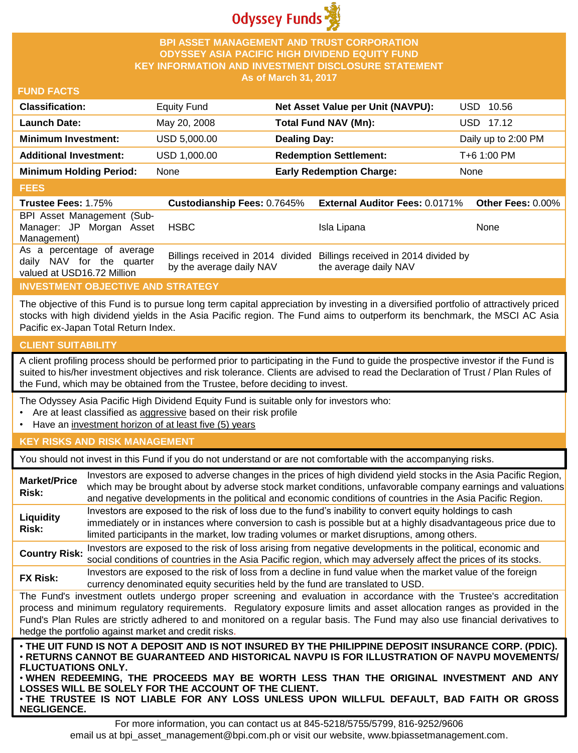

#### **BPI ASSET MANAGEMENT AND TRUST CORPORATION ODYSSEY ASIA PACIFIC HIGH DIVIDEND EQUITY FUND KEY INFORMATION AND INVESTMENT DISCLOSURE STATEMENT As of March 31, 2017**

#### **FUND FACTS**

| <b>Classification:</b>         | <b>Equity Fund</b> | Net Asset Value per Unit (NAVPU): | USD 10.56           |
|--------------------------------|--------------------|-----------------------------------|---------------------|
| <b>Launch Date:</b>            | May 20, 2008       | <b>Total Fund NAV (Mn):</b>       | USD 17.12           |
| <b>Minimum Investment:</b>     | USD 5,000,00       | <b>Dealing Day:</b>               | Daily up to 2:00 PM |
| <b>Additional Investment:</b>  | USD 1,000.00       | <b>Redemption Settlement:</b>     | T+6 1:00 PM         |
| <b>Minimum Holding Period:</b> | None               | <b>Early Redemption Charge:</b>   | None                |

#### **FEES**

| <b>Trustee Fees: 1.75%</b>                                                            |                          | Custodianship Fees: 0.7645% External Auditor Fees: 0.0171% Other Fees: 0.00%                    |      |
|---------------------------------------------------------------------------------------|--------------------------|-------------------------------------------------------------------------------------------------|------|
| BPI Asset Management (Sub-<br>Manager: JP Morgan Asset<br>Management)                 | <b>HSBC</b>              | Isla Lipana                                                                                     | None |
| As a percentage of average<br>daily NAV for the quarter<br>valued at USD16.72 Million | by the average daily NAV | Billings received in 2014 divided Billings received in 2014 divided by<br>the average daily NAV |      |

# **INVESTMENT OBJECTIVE AND STRATEGY**

The objective of this Fund is to pursue long term capital appreciation by investing in a diversified portfolio of attractively priced stocks with high dividend yields in the Asia Pacific region. The Fund aims to outperform its benchmark, the MSCI AC Asia Pacific ex-Japan Total Return Index.

## **CLIENT SUITABILITY**

**NEGLIGENCE.**

A client profiling process should be performed prior to participating in the Fund to guide the prospective investor if the Fund is suited to his/her investment objectives and risk tolerance. Clients are advised to read the Declaration of Trust / Plan Rules of the Fund, which may be obtained from the Trustee, before deciding to invest.

The Odyssey Asia Pacific High Dividend Equity Fund is suitable only for investors who:

- Are at least classified as aggressive based on their risk profile
- Have an investment horizon of at least five (5) years

## **KEY RISKS AND RISK MANAGEMENT**

You should not invest in this Fund if you do not understand or are not comfortable with the accompanying risks.

| <b>Market/Price</b><br>Risk:                                                                                                                                                                                                                                                                                                                                                                                                                                                 | Investors are exposed to adverse changes in the prices of high dividend yield stocks in the Asia Pacific Region,<br>which may be brought about by adverse stock market conditions, unfavorable company earnings and valuations<br>and negative developments in the political and economic conditions of countries in the Asia Pacific Region. |  |  |
|------------------------------------------------------------------------------------------------------------------------------------------------------------------------------------------------------------------------------------------------------------------------------------------------------------------------------------------------------------------------------------------------------------------------------------------------------------------------------|-----------------------------------------------------------------------------------------------------------------------------------------------------------------------------------------------------------------------------------------------------------------------------------------------------------------------------------------------|--|--|
| Liquidity<br>Risk:                                                                                                                                                                                                                                                                                                                                                                                                                                                           | Investors are exposed to the risk of loss due to the fund's inability to convert equity holdings to cash<br>immediately or in instances where conversion to cash is possible but at a highly disadvantageous price due to<br>limited participants in the market, low trading volumes or market disruptions, among others.                     |  |  |
| <b>Country Risk:</b>                                                                                                                                                                                                                                                                                                                                                                                                                                                         | Investors are exposed to the risk of loss arising from negative developments in the political, economic and<br>social conditions of countries in the Asia Pacific region, which may adversely affect the prices of its stocks.                                                                                                                |  |  |
| <b>FX Risk:</b>                                                                                                                                                                                                                                                                                                                                                                                                                                                              | Investors are exposed to the risk of loss from a decline in fund value when the market value of the foreign<br>currency denominated equity securities held by the fund are translated to USD.                                                                                                                                                 |  |  |
| The Fund's investment outlets undergo proper screening and evaluation in accordance with the Trustee's accreditation<br>process and minimum regulatory requirements. Regulatory exposure limits and asset allocation ranges as provided in the<br>Fund's Plan Rules are strictly adhered to and monitored on a regular basis. The Fund may also use financial derivatives to<br>hedge the portfolio against market and credit risks.                                         |                                                                                                                                                                                                                                                                                                                                               |  |  |
| . THE UIT FUND IS NOT A DEPOSIT AND IS NOT INSURED BY THE PHILIPPINE DEPOSIT INSURANCE CORP. (PDIC).<br>⋅RETURNS CANNOT BE GUARANTEED AND HISTORICAL NAVPU IS FOR ILLUSTRATION OF NAVPU MOVEMENTS/<br><b>FLUCTUATIONS ONLY.</b><br>. WHEN REDEEMING, THE PROCEEDS MAY BE WORTH LESS THAN THE ORIGINAL INVESTMENT AND ANY<br>LOSSES WILL BE SOLELY FOR THE ACCOUNT OF THE CLIENT.<br>. THE TRUSTEE IS NOT LIABLE FOR ANY LOSS UNLESS UPON WILLFUL DEFAULT, BAD FAITH OR GROSS |                                                                                                                                                                                                                                                                                                                                               |  |  |

For more information, you can contact us at 845-5218/5755/5799, 816-9252/9606 email us at bpi\_asset\_management@bpi.com.ph or visit our website, www.bpiassetmanagement.com.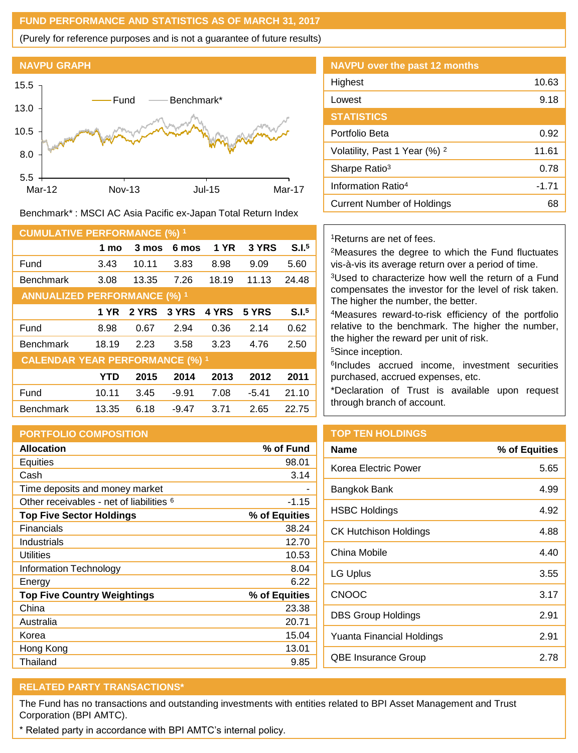#### **FUND PERFORMANCE AND STATISTICS AS OF MARCH 31, 2017**

(Purely for reference purposes and is not a guarantee of future results)



Benchmark\* : MSCI AC Asia Pacific ex-Japan Total Return Index

| <b>CUMULATIVE PERFORMANCE (%) 1</b>    |            |       |         |             |         |                   |
|----------------------------------------|------------|-------|---------|-------------|---------|-------------------|
|                                        | 1 mo       | 3 mos | 6 mos   | <b>1 YR</b> | 3 YRS   | S.I. <sup>5</sup> |
| Fund                                   | 3.43       | 10.11 | 3.83    | 8.98        | 9.09    | 5.60              |
| <b>Benchmark</b>                       | 3.08       | 13.35 | 7.26    | 18.19       | 11.13   | 24.48             |
| <b>ANNUALIZED PERFORMANCE (%) 1</b>    |            |       |         |             |         |                   |
|                                        | 1 YR       | 2 YRS | 3 YRS   | 4 YRS       | 5 YRS   | S.I. <sup>5</sup> |
| Fund                                   | 8.98       | 0.67  | 2.94    | 0.36        | 2.14    | 0.62              |
| <b>Benchmark</b>                       | 18.19      | 2.23  | 3.58    | 3.23        | 4.76    | 2.50              |
| <b>CALENDAR YEAR PERFORMANCE (%) 1</b> |            |       |         |             |         |                   |
|                                        | <b>YTD</b> | 2015  | 2014    | 2013        | 2012    | 2011              |
| Fund                                   | 10.11      | 3.45  | $-9.91$ | 7.08        | $-5.41$ | 21.10             |
| <b>Benchmark</b>                       | 13.35      | 6.18  | $-9.47$ | 3.71        | 2.65    | 22.75             |

## **PORTFOLIO COMPOSITION**

| <b>Allocation</b>                                   | % of Fund     |
|-----------------------------------------------------|---------------|
| Equities                                            | 98.01         |
| Cash                                                | 3.14          |
| Time deposits and money market                      |               |
| Other receivables - net of liabilities <sup>6</sup> | -1.15         |
| <b>Top Five Sector Holdings</b>                     | % of Equities |
| <b>Financials</b>                                   | 38.24         |
| Industrials                                         | 12.70         |
| Utilities                                           | 10.53         |
| Information Technology                              | 8.04          |
| Energy                                              | 6.22          |
| <b>Top Five Country Weightings</b>                  | % of Equities |
| China                                               | 23.38         |
| Australia                                           | 20.71         |
| Korea                                               | 15.04         |
| Hong Kong                                           | 13.01         |
| Thailand                                            | 9.85          |

| <b>NAVPU over the past 12 months</b>     |       |
|------------------------------------------|-------|
| Highest                                  | 10.63 |
| Lowest                                   | 9.18  |
| <b>STATISTICS</b>                        |       |
| Portfolio Beta                           | 0.92  |
| Volatility, Past 1 Year (%) <sup>2</sup> | 11.61 |
| Sharpe Ratio <sup>3</sup>                | 0.78  |
| Information Ratio <sup>4</sup>           | -1.71 |
| Current Number of Holdings               | 68    |
|                                          |       |

#### <sup>1</sup>Returns are net of fees.

<sup>2</sup>Measures the degree to which the Fund fluctuates vis-à-vis its average return over a period of time.

<sup>3</sup>Used to characterize how well the return of a Fund compensates the investor for the level of risk taken. The higher the number, the better.

<sup>4</sup>Measures reward-to-risk efficiency of the portfolio relative to the benchmark. The higher the number, the higher the reward per unit of risk.

<sup>5</sup>Since inception.

6 Includes accrued income, investment securities purchased, accrued expenses, etc.

\*Declaration of Trust is available upon request through branch of account.

# **TOP TEN HOLDINGS**

| Name                         | % of Equities |
|------------------------------|---------------|
| Korea Electric Power         | 5.65          |
| Bangkok Bank                 | 4.99          |
| <b>HSBC Holdings</b>         | 4.92          |
| <b>CK Hutchison Holdings</b> | 4.88          |
| China Mobile                 | 4.40          |
| LG Uplus                     | 3.55          |
| <b>CNOOC</b>                 | 3.17          |
| DBS Group Holdings           | 2.91          |
| Yuanta Financial Holdings    | 2.91          |
| QBE Insurance Group          | 2.78          |

# **RELATED PARTY TRANSACTIONS\***

The Fund has no transactions and outstanding investments with entities related to BPI Asset Management and Trust Corporation (BPI AMTC).

\* Related party in accordance with BPI AMTC's internal policy.